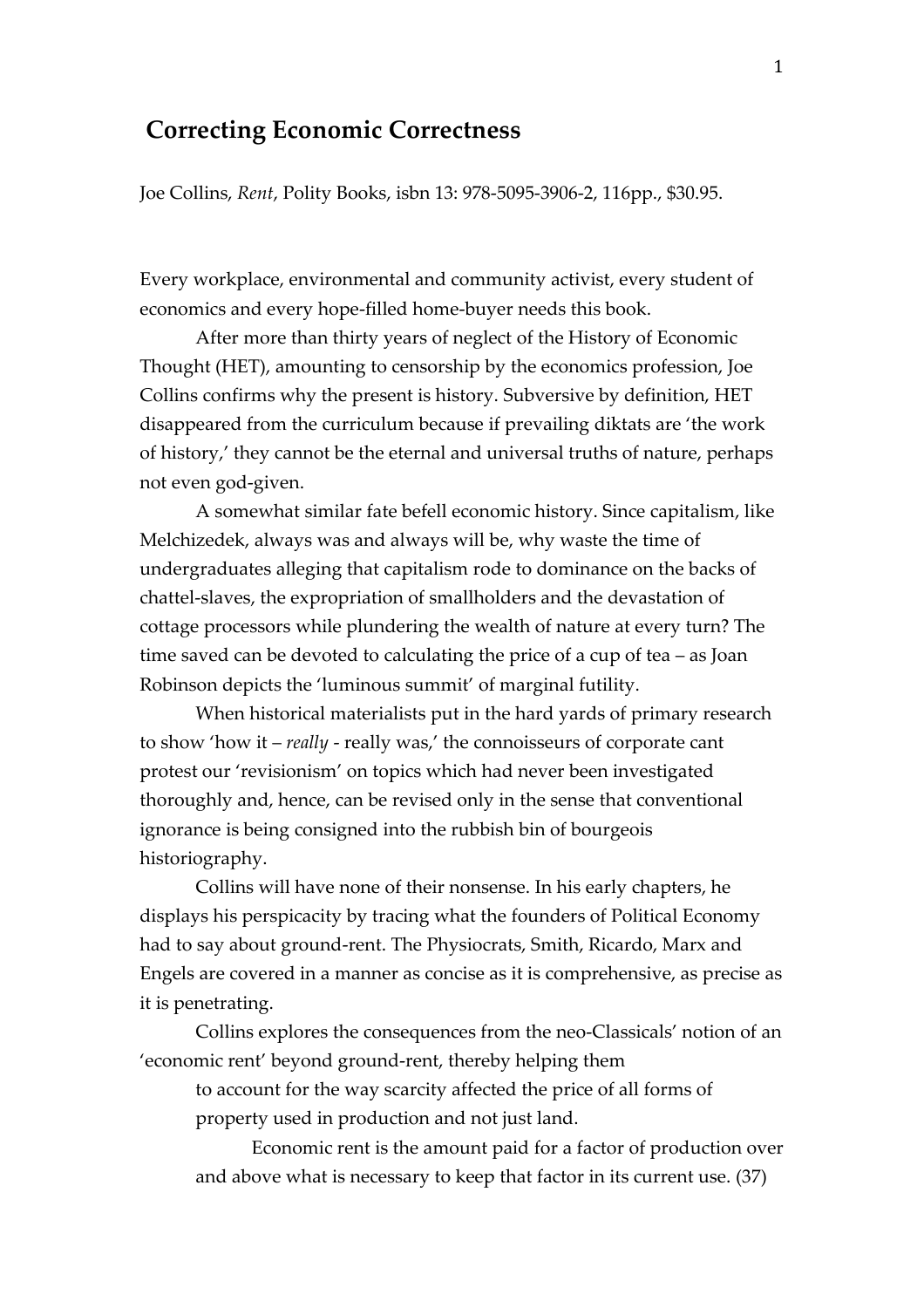# **Correcting Economic Correctness**

Joe Collins, *Rent*, Polity Books, isbn 13: 978-5095-3906-2, 116pp., \$30.95.

Every workplace, environmental and community activist, every student of economics and every hope-filled home-buyer needs this book.

After more than thirty years of neglect of the History of Economic Thought (HET), amounting to censorship by the economics profession, Joe Collins confirms why the present is history. Subversive by definition, HET disappeared from the curriculum because if prevailing diktats are 'the work of history,' they cannot be the eternal and universal truths of nature, perhaps not even god-given.

A somewhat similar fate befell economic history. Since capitalism, like Melchizedek, always was and always will be, why waste the time of undergraduates alleging that capitalism rode to dominance on the backs of chattel-slaves, the expropriation of smallholders and the devastation of cottage processors while plundering the wealth of nature at every turn? The time saved can be devoted to calculating the price of a cup of tea – as Joan Robinson depicts the 'luminous summit' of marginal futility.

When historical materialists put in the hard yards of primary research to show 'how it – *really* - really was,' the connoisseurs of corporate cant protest our 'revisionism' on topics which had never been investigated thoroughly and, hence, can be revised only in the sense that conventional ignorance is being consigned into the rubbish bin of bourgeois historiography.

Collins will have none of their nonsense. In his early chapters, he displays his perspicacity by tracing what the founders of Political Economy had to say about ground-rent. The Physiocrats, Smith, Ricardo, Marx and Engels are covered in a manner as concise as it is comprehensive, as precise as it is penetrating.

Collins explores the consequences from the neo-Classicals' notion of an 'economic rent' beyond ground-rent, thereby helping them

to account for the way scarcity affected the price of all forms of property used in production and not just land.

Economic rent is the amount paid for a factor of production over and above what is necessary to keep that factor in its current use. (37)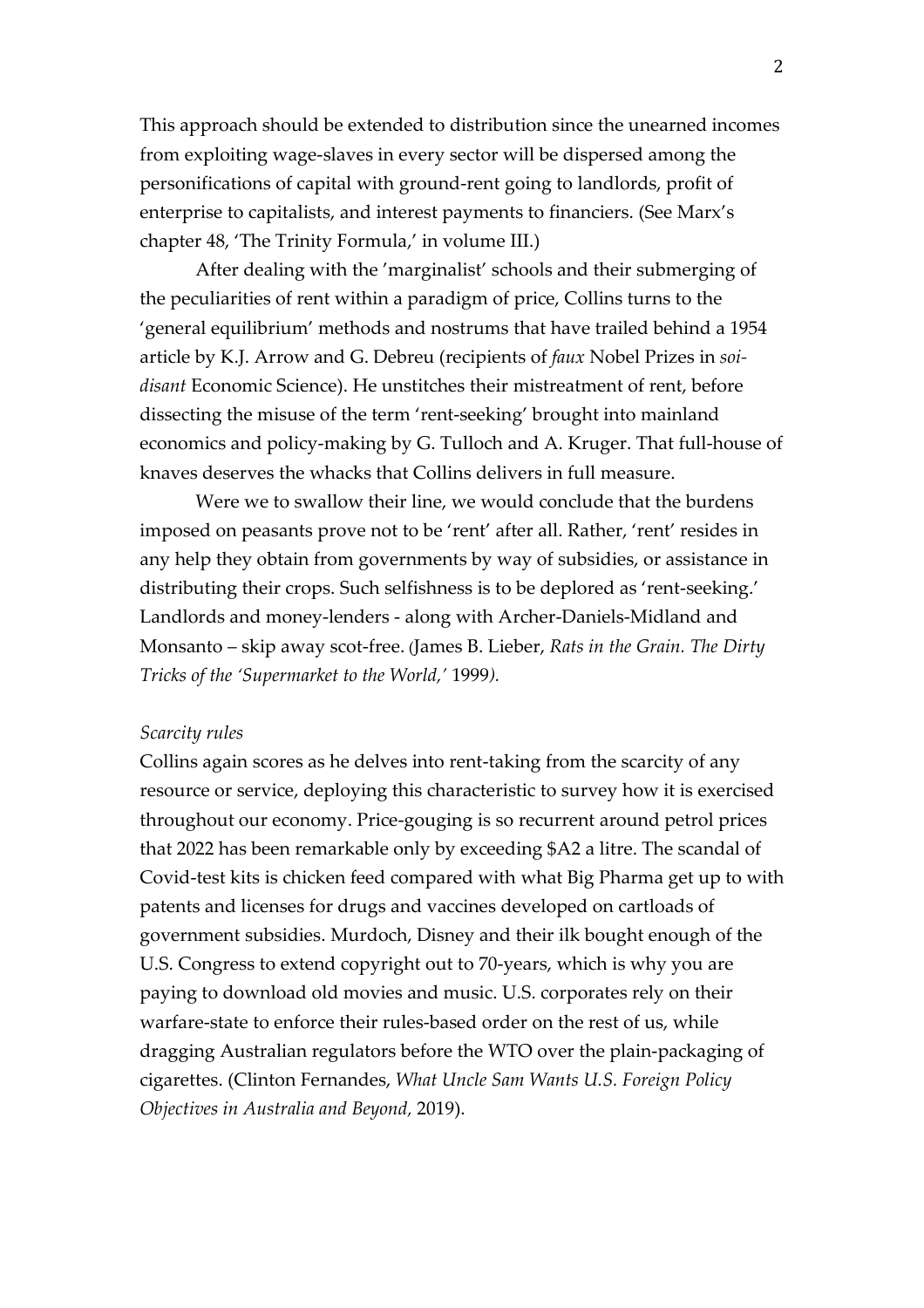This approach should be extended to distribution since the unearned incomes from exploiting wage-slaves in every sector will be dispersed among the personifications of capital with ground-rent going to landlords, profit of enterprise to capitalists, and interest payments to financiers. (See Marx's chapter 48, 'The Trinity Formula,' in volume III.)

After dealing with the 'marginalist' schools and their submerging of the peculiarities of rent within a paradigm of price, Collins turns to the 'general equilibrium' methods and nostrums that have trailed behind a 1954 article by K.J. Arrow and G. Debreu (recipients of *faux* Nobel Prizes in *soidisant* Economic Science). He unstitches their mistreatment of rent, before dissecting the misuse of the term 'rent-seeking' brought into mainland economics and policy-making by G. Tulloch and A. Kruger. That full-house of knaves deserves the whacks that Collins delivers in full measure.

Were we to swallow their line, we would conclude that the burdens imposed on peasants prove not to be 'rent' after all. Rather, 'rent' resides in any help they obtain from governments by way of subsidies, or assistance in distributing their crops. Such selfishness is to be deplored as 'rent-seeking.' Landlords and money-lenders - along with Archer-Daniels-Midland and Monsanto – skip away scot-free. (James B. Lieber, *Rats in the Grain. The Dirty Tricks of the 'Supermarket to the World,'* 1999*).*

# *Scarcity rules*

Collins again scores as he delves into rent-taking from the scarcity of any resource or service, deploying this characteristic to survey how it is exercised throughout our economy. Price-gouging is so recurrent around petrol prices that 2022 has been remarkable only by exceeding \$A2 a litre. The scandal of Covid-test kits is chicken feed compared with what Big Pharma get up to with patents and licenses for drugs and vaccines developed on cartloads of government subsidies. Murdoch, Disney and their ilk bought enough of the U.S. Congress to extend copyright out to 70-years, which is why you are paying to download old movies and music. U.S. corporates rely on their warfare-state to enforce their rules-based order on the rest of us, while dragging Australian regulators before the WTO over the plain-packaging of cigarettes. (Clinton Fernandes, *What Uncle Sam Wants U.S. Foreign Policy Objectives in Australia and Beyond,* 2019).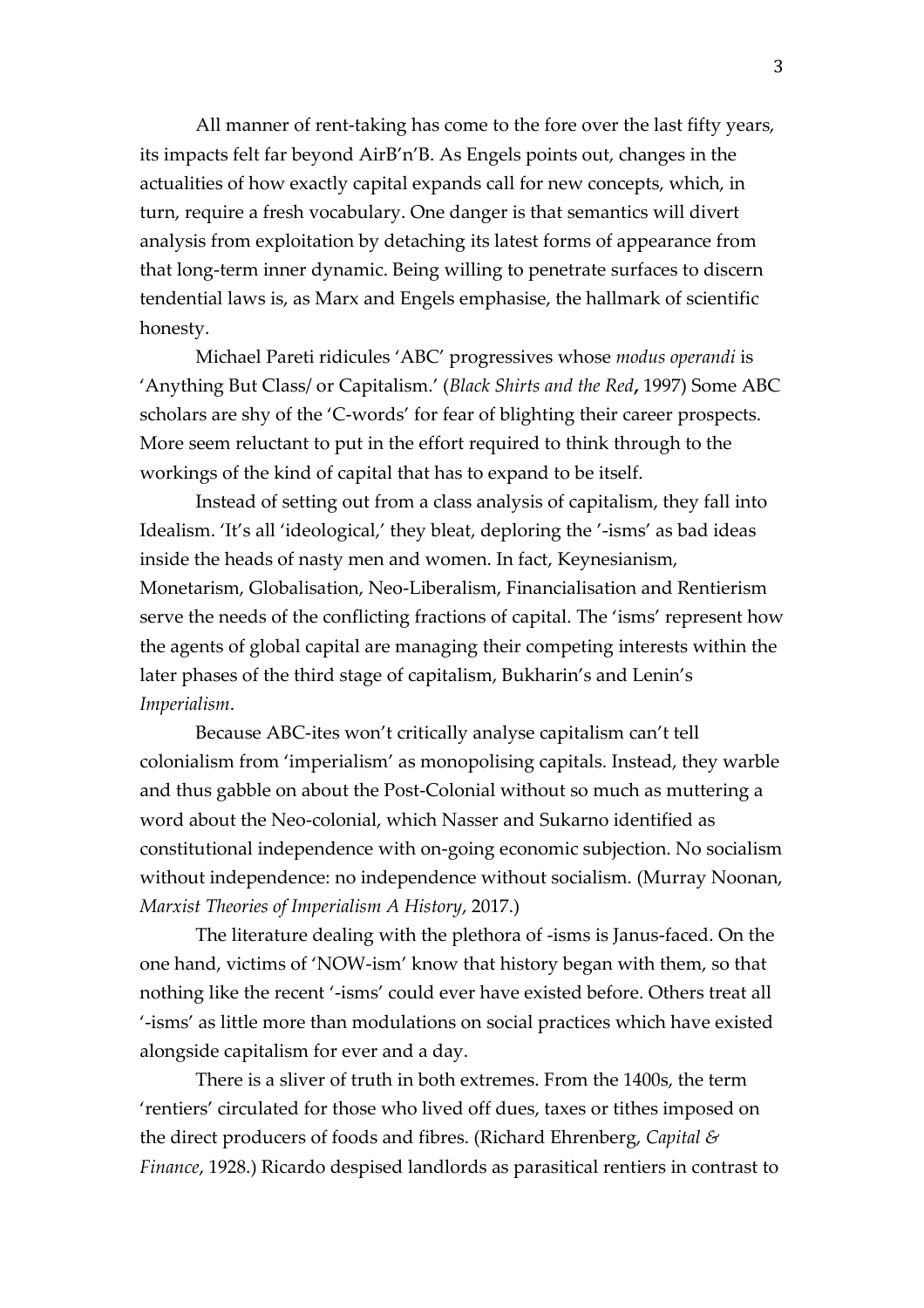All manner of rent-taking has come to the fore over the last fifty years, its impacts felt far beyond AirB'n'B. As Engels points out, changes in the actualities of how exactly capital expands call for new concepts, which, in turn, require a fresh vocabulary. One danger is that semantics will divert analysis from exploitation by detaching its latest forms of appearance from that long-term inner dynamic. Being willing to penetrate surfaces to discern tendential laws is, as Marx and Engels emphasise, the hallmark of scientific honesty.

Michael Pareti ridicules 'ABC' progressives whose *modus operandi* is 'Anything But Class/ or Capitalism.' (*Black Shirts and the Red***,** 1997) Some ABC scholars are shy of the 'C-words' for fear of blighting their career prospects. More seem reluctant to put in the effort required to think through to the workings of the kind of capital that has to expand to be itself.

Instead of setting out from a class analysis of capitalism, they fall into Idealism. 'It's all 'ideological,' they bleat, deploring the '-isms' as bad ideas inside the heads of nasty men and women. In fact, Keynesianism, Monetarism, Globalisation, Neo-Liberalism, Financialisation and Rentierism serve the needs of the conflicting fractions of capital. The 'isms' represent how the agents of global capital are managing their competing interests within the later phases of the third stage of capitalism, Bukharin's and Lenin's *Imperialism*.

Because ABC-ites won't critically analyse capitalism can't tell colonialism from 'imperialism' as monopolising capitals. Instead, they warble and thus gabble on about the Post-Colonial without so much as muttering a word about the Neo-colonial, which Nasser and Sukarno identified as constitutional independence with on-going economic subjection. No socialism without independence: no independence without socialism. (Murray Noonan, *Marxist Theories of Imperialism A History*, 2017.)

The literature dealing with the plethora of -isms is Janus-faced. On the one hand, victims of 'NOW-ism' know that history began with them, so that nothing like the recent '-isms' could ever have existed before. Others treat all '-isms' as little more than modulations on social practices which have existed alongside capitalism for ever and a day.

There is a sliver of truth in both extremes. From the 1400s, the term 'rentiers' circulated for those who lived off dues, taxes or tithes imposed on the direct producers of foods and fibres. (Richard Ehrenberg, *Capital & Finance*, 1928.) Ricardo despised landlords as parasitical rentiers in contrast to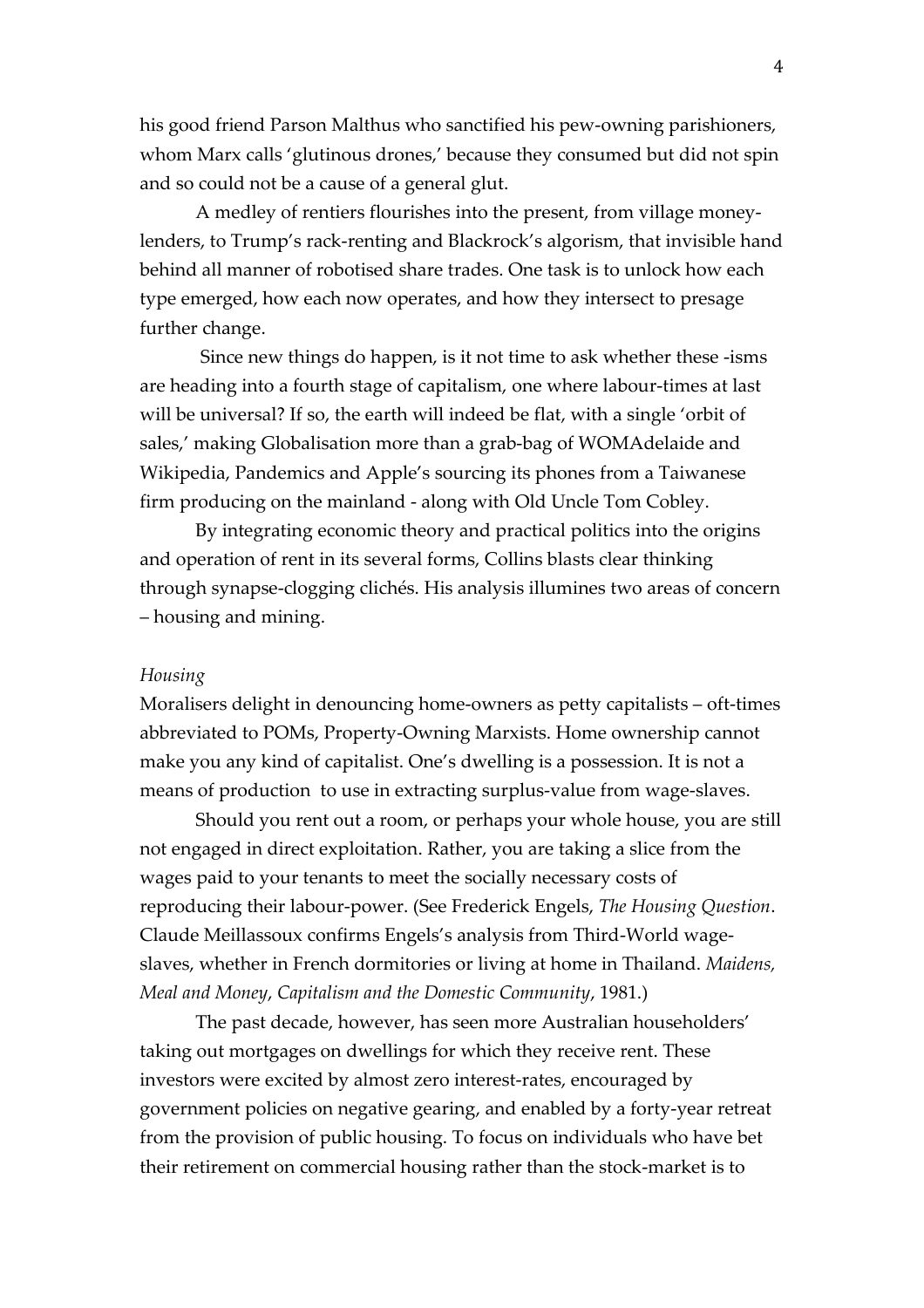his good friend Parson Malthus who sanctified his pew-owning parishioners, whom Marx calls 'glutinous drones,' because they consumed but did not spin and so could not be a cause of a general glut.

A medley of rentiers flourishes into the present, from village moneylenders, to Trump's rack-renting and Blackrock's algorism, that invisible hand behind all manner of robotised share trades. One task is to unlock how each type emerged, how each now operates, and how they intersect to presage further change.

Since new things do happen, is it not time to ask whether these -isms are heading into a fourth stage of capitalism, one where labour-times at last will be universal? If so, the earth will indeed be flat, with a single 'orbit of sales,' making Globalisation more than a grab-bag of WOMAdelaide and Wikipedia, Pandemics and Apple's sourcing its phones from a Taiwanese firm producing on the mainland - along with Old Uncle Tom Cobley.

By integrating economic theory and practical politics into the origins and operation of rent in its several forms, Collins blasts clear thinking through synapse-clogging clichés. His analysis illumines two areas of concern – housing and mining.

# *Housing*

Moralisers delight in denouncing home-owners as petty capitalists – oft-times abbreviated to POMs, Property-Owning Marxists. Home ownership cannot make you any kind of capitalist. One's dwelling is a possession. It is not a means of production to use in extracting surplus-value from wage-slaves.

Should you rent out a room, or perhaps your whole house, you are still not engaged in direct exploitation. Rather, you are taking a slice from the wages paid to your tenants to meet the socially necessary costs of reproducing their labour-power. (See Frederick Engels, *The Housing Question*. Claude Meillassoux confirms Engels's analysis from Third-World wageslaves, whether in French dormitories or living at home in Thailand. *Maidens, Meal and Money*, *Capitalism and the Domestic Community*, 1981.)

The past decade, however, has seen more Australian householders' taking out mortgages on dwellings for which they receive rent. These investors were excited by almost zero interest-rates, encouraged by government policies on negative gearing, and enabled by a forty-year retreat from the provision of public housing. To focus on individuals who have bet their retirement on commercial housing rather than the stock-market is to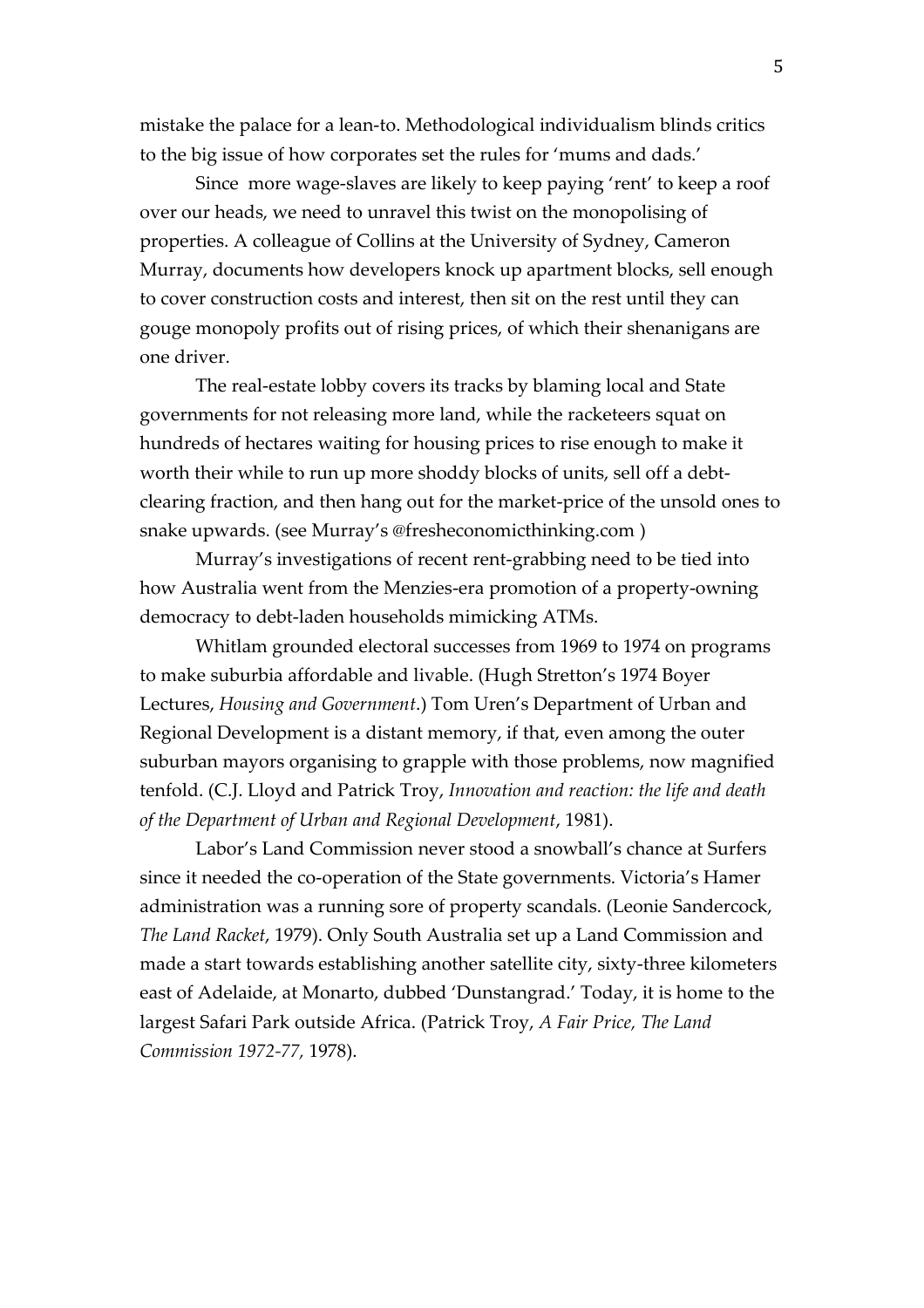mistake the palace for a lean-to. Methodological individualism blinds critics to the big issue of how corporates set the rules for 'mums and dads.'

Since more wage-slaves are likely to keep paying 'rent' to keep a roof over our heads, we need to unravel this twist on the monopolising of properties. A colleague of Collins at the University of Sydney, Cameron Murray, documents how developers knock up apartment blocks, sell enough to cover construction costs and interest, then sit on the rest until they can gouge monopoly profits out of rising prices, of which their shenanigans are one driver.

The real-estate lobby covers its tracks by blaming local and State governments for not releasing more land, while the racketeers squat on hundreds of hectares waiting for housing prices to rise enough to make it worth their while to run up more shoddy blocks of units, sell off a debtclearing fraction, and then hang out for the market-price of the unsold ones to snake upwards. (see Murray's @fresheconomicthinking.com )

Murray's investigations of recent rent-grabbing need to be tied into how Australia went from the Menzies-era promotion of a property-owning democracy to debt-laden households mimicking ATMs.

Whitlam grounded electoral successes from 1969 to 1974 on programs to make suburbia affordable and livable. (Hugh Stretton's 1974 Boyer Lectures, *Housing and Government*.) Tom Uren's Department of Urban and Regional Development is a distant memory, if that, even among the outer suburban mayors organising to grapple with those problems, now magnified tenfold. (C.J. Lloyd and Patrick Troy, *Innovation and reaction: the life and death of the Department of Urban and Regional Development*, 1981).

Labor's Land Commission never stood a snowball's chance at Surfers since it needed the co-operation of the State governments. Victoria's Hamer administration was a running sore of property scandals. (Leonie Sandercock, *The Land Racket*, 1979). Only South Australia set up a Land Commission and made a start towards establishing another satellite city, sixty-three kilometers east of Adelaide, at Monarto, dubbed 'Dunstangrad.' Today, it is home to the largest Safari Park outside Africa. (Patrick Troy, *A Fair Price, The Land Commission 1972-77,* 1978).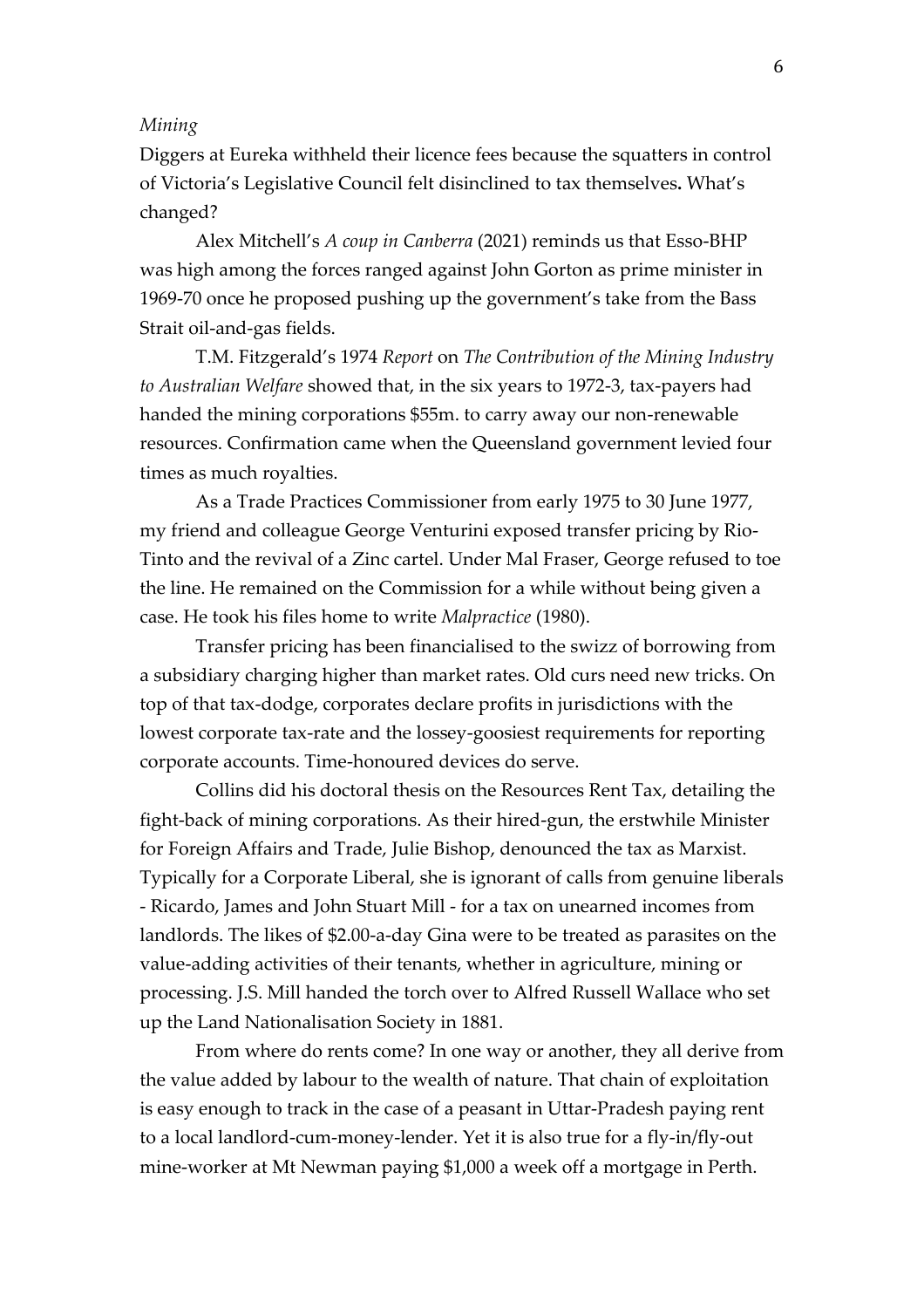# *Mining*

Diggers at Eureka withheld their licence fees because the squatters in control of Victoria's Legislative Council felt disinclined to tax themselves**.** What's changed?

Alex Mitchell's *A coup in Canberra* (2021) reminds us that Esso-BHP was high among the forces ranged against John Gorton as prime minister in 1969-70 once he proposed pushing up the government's take from the Bass Strait oil-and-gas fields.

T.M. Fitzgerald's 1974 *Report* on *The Contribution of the Mining Industry to Australian Welfare* showed that, in the six years to 1972-3, tax-payers had handed the mining corporations \$55m. to carry away our non-renewable resources. Confirmation came when the Queensland government levied four times as much royalties.

As a Trade Practices Commissioner from early 1975 to 30 June 1977, my friend and colleague George Venturini exposed transfer pricing by Rio-Tinto and the revival of a Zinc cartel. Under Mal Fraser, George refused to toe the line. He remained on the Commission for a while without being given a case. He took his files home to write *Malpractice* (1980).

Transfer pricing has been financialised to the swizz of borrowing from a subsidiary charging higher than market rates. Old curs need new tricks. On top of that tax-dodge, corporates declare profits in jurisdictions with the lowest corporate tax-rate and the lossey-goosiest requirements for reporting corporate accounts. Time-honoured devices do serve.

Collins did his doctoral thesis on the Resources Rent Tax, detailing the fight-back of mining corporations. As their hired-gun, the erstwhile Minister for Foreign Affairs and Trade, Julie Bishop, denounced the tax as Marxist. Typically for a Corporate Liberal, she is ignorant of calls from genuine liberals - Ricardo, James and John Stuart Mill - for a tax on unearned incomes from landlords. The likes of \$2.00-a-day Gina were to be treated as parasites on the value-adding activities of their tenants, whether in agriculture, mining or processing. J.S. Mill handed the torch over to Alfred Russell Wallace who set up the Land Nationalisation Society in 1881.

From where do rents come? In one way or another, they all derive from the value added by labour to the wealth of nature. That chain of exploitation is easy enough to track in the case of a peasant in Uttar-Pradesh paying rent to a local landlord-cum-money-lender. Yet it is also true for a fly-in/fly-out mine-worker at Mt Newman paying \$1,000 a week off a mortgage in Perth.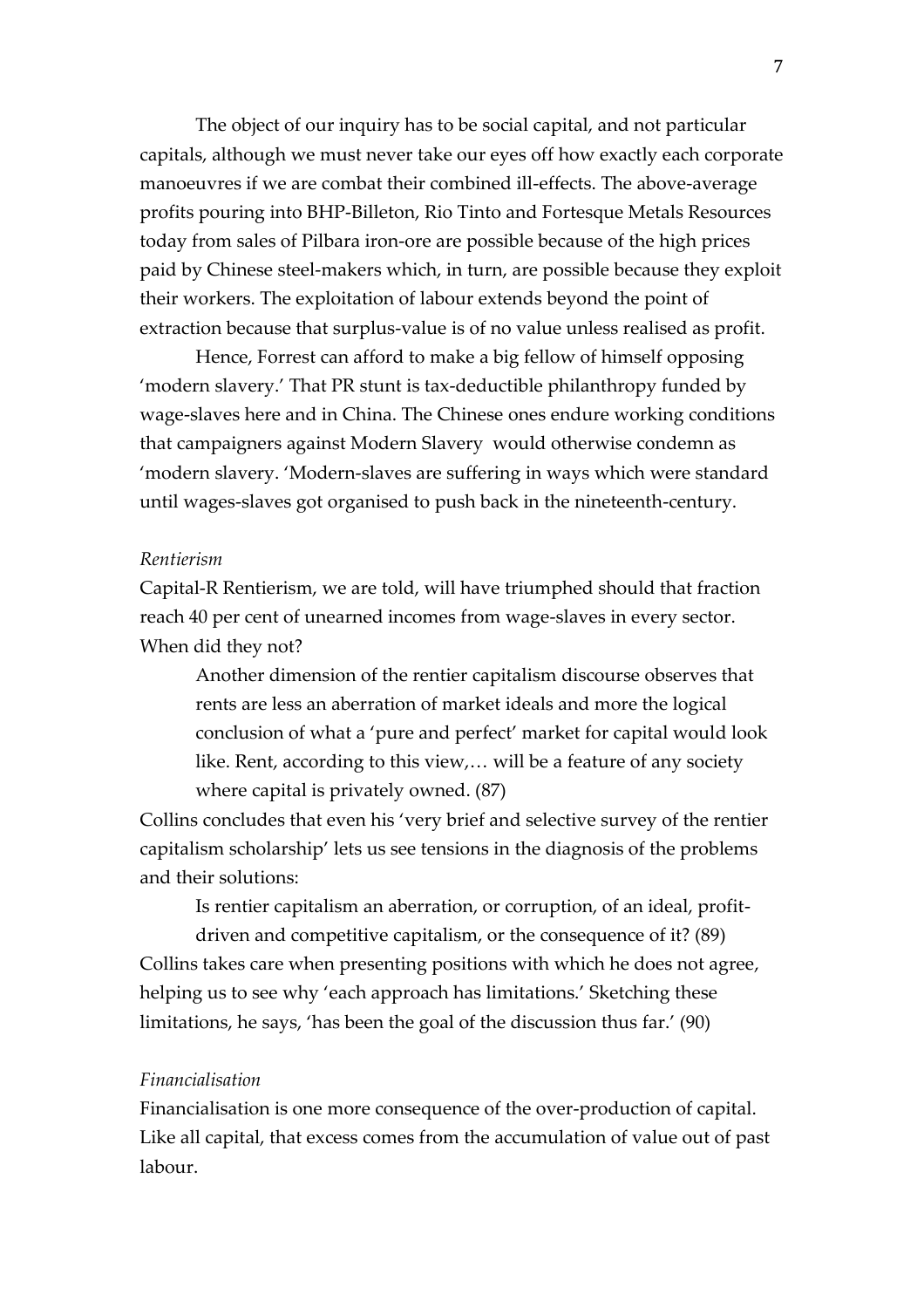The object of our inquiry has to be social capital, and not particular capitals, although we must never take our eyes off how exactly each corporate manoeuvres if we are combat their combined ill-effects. The above-average profits pouring into BHP-Billeton, Rio Tinto and Fortesque Metals Resources today from sales of Pilbara iron-ore are possible because of the high prices paid by Chinese steel-makers which, in turn, are possible because they exploit their workers. The exploitation of labour extends beyond the point of extraction because that surplus-value is of no value unless realised as profit.

Hence, Forrest can afford to make a big fellow of himself opposing 'modern slavery.' That PR stunt is tax-deductible philanthropy funded by wage-slaves here and in China. The Chinese ones endure working conditions that campaigners against Modern Slavery would otherwise condemn as 'modern slavery. 'Modern-slaves are suffering in ways which were standard until wages-slaves got organised to push back in the nineteenth-century.

# *Rentierism*

Capital-R Rentierism, we are told, will have triumphed should that fraction reach 40 per cent of unearned incomes from wage-slaves in every sector. When did they not?

Another dimension of the rentier capitalism discourse observes that rents are less an aberration of market ideals and more the logical conclusion of what a 'pure and perfect' market for capital would look like. Rent, according to this view,… will be a feature of any society where capital is privately owned. (87)

Collins concludes that even his 'very brief and selective survey of the rentier capitalism scholarship' lets us see tensions in the diagnosis of the problems and their solutions:

Is rentier capitalism an aberration, or corruption, of an ideal, profit-

driven and competitive capitalism, or the consequence of it? (89) Collins takes care when presenting positions with which he does not agree, helping us to see why 'each approach has limitations.' Sketching these limitations, he says, 'has been the goal of the discussion thus far.' (90)

#### *Financialisation*

Financialisation is one more consequence of the over-production of capital. Like all capital, that excess comes from the accumulation of value out of past labour.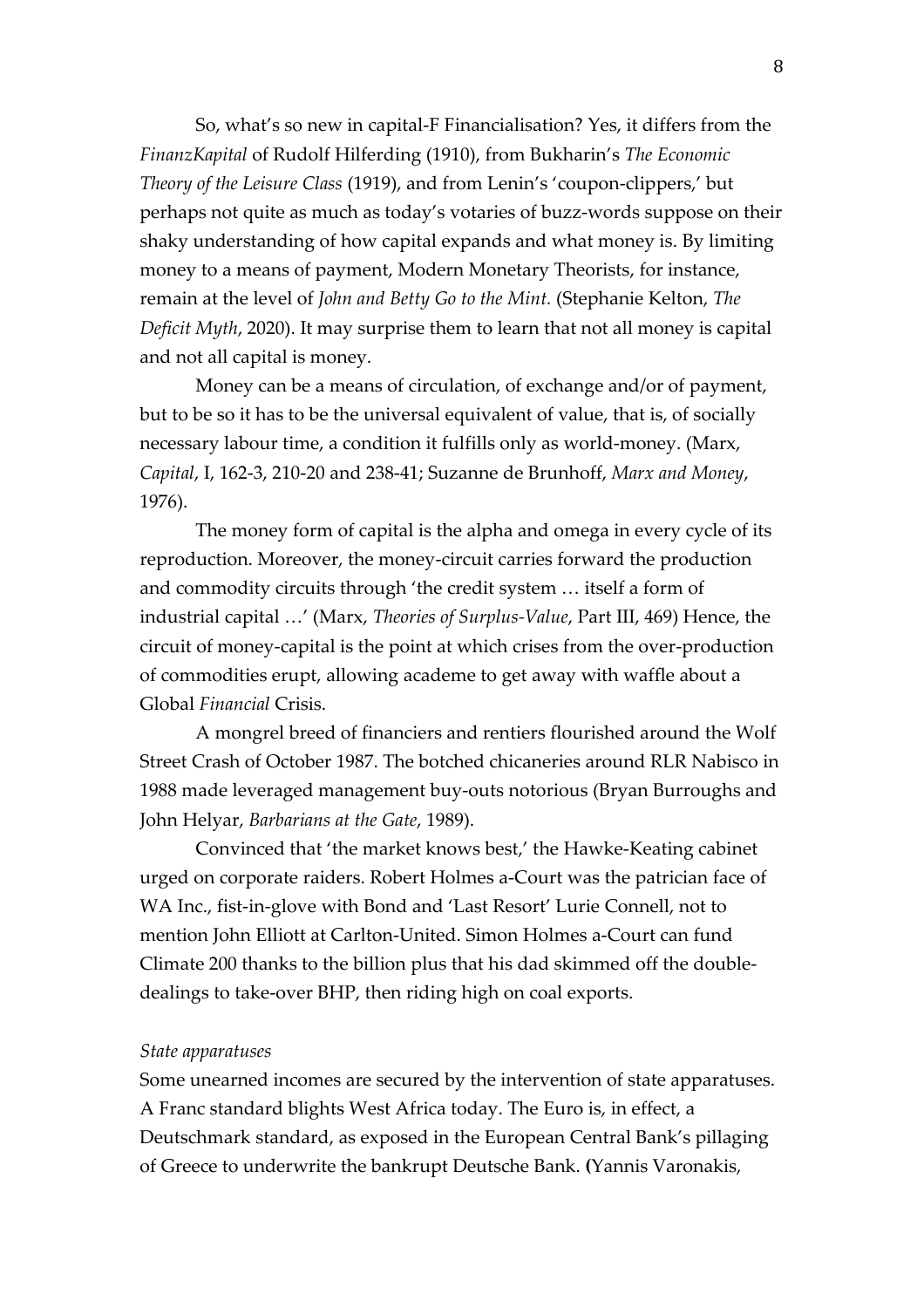So, what's so new in capital-F Financialisation? Yes, it differs from the *FinanzKapital* of Rudolf Hilferding (1910), from Bukharin's *The Economic Theory of the Leisure Class* (1919), and from Lenin's 'coupon-clippers,' but perhaps not quite as much as today's votaries of buzz-words suppose on their shaky understanding of how capital expands and what money is. By limiting money to a means of payment, Modern Monetary Theorists, for instance, remain at the level of *John and Betty Go to the Mint.* (Stephanie Kelton, *The Deficit Myth*, 2020). It may surprise them to learn that not all money is capital and not all capital is money.

Money can be a means of circulation, of exchange and/or of payment, but to be so it has to be the universal equivalent of value, that is, of socially necessary labour time, a condition it fulfills only as world-money. (Marx, *Capital*, I, 162-3, 210-20 and 238-41; Suzanne de Brunhoff, *Marx and Money*, 1976).

The money form of capital is the alpha and omega in every cycle of its reproduction. Moreover, the money-circuit carries forward the production and commodity circuits through 'the credit system … itself a form of industrial capital …' (Marx, *Theories of Surplus-Value*, Part III, 469) Hence, the circuit of money-capital is the point at which crises from the over-production of commodities erupt, allowing academe to get away with waffle about a Global *Financial* Crisis.

A mongrel breed of financiers and rentiers flourished around the Wolf Street Crash of October 1987. The botched chicaneries around RLR Nabisco in 1988 made leveraged management buy-outs notorious (Bryan Burroughs and John Helyar, *Barbarians at the Gate*, 1989).

Convinced that 'the market knows best,' the Hawke-Keating cabinet urged on corporate raiders. Robert Holmes a-Court was the patrician face of WA Inc., fist-in-glove with Bond and 'Last Resort' Lurie Connell, not to mention John Elliott at Carlton-United. Simon Holmes a-Court can fund Climate 200 thanks to the billion plus that his dad skimmed off the doubledealings to take-over BHP, then riding high on coal exports.

# *State apparatuses*

Some unearned incomes are secured by the intervention of state apparatuses. A Franc standard blights West Africa today. The Euro is, in effect, a Deutschmark standard, as exposed in the European Central Bank's pillaging of Greece to underwrite the bankrupt Deutsche Bank. **(**Yannis Varonakis,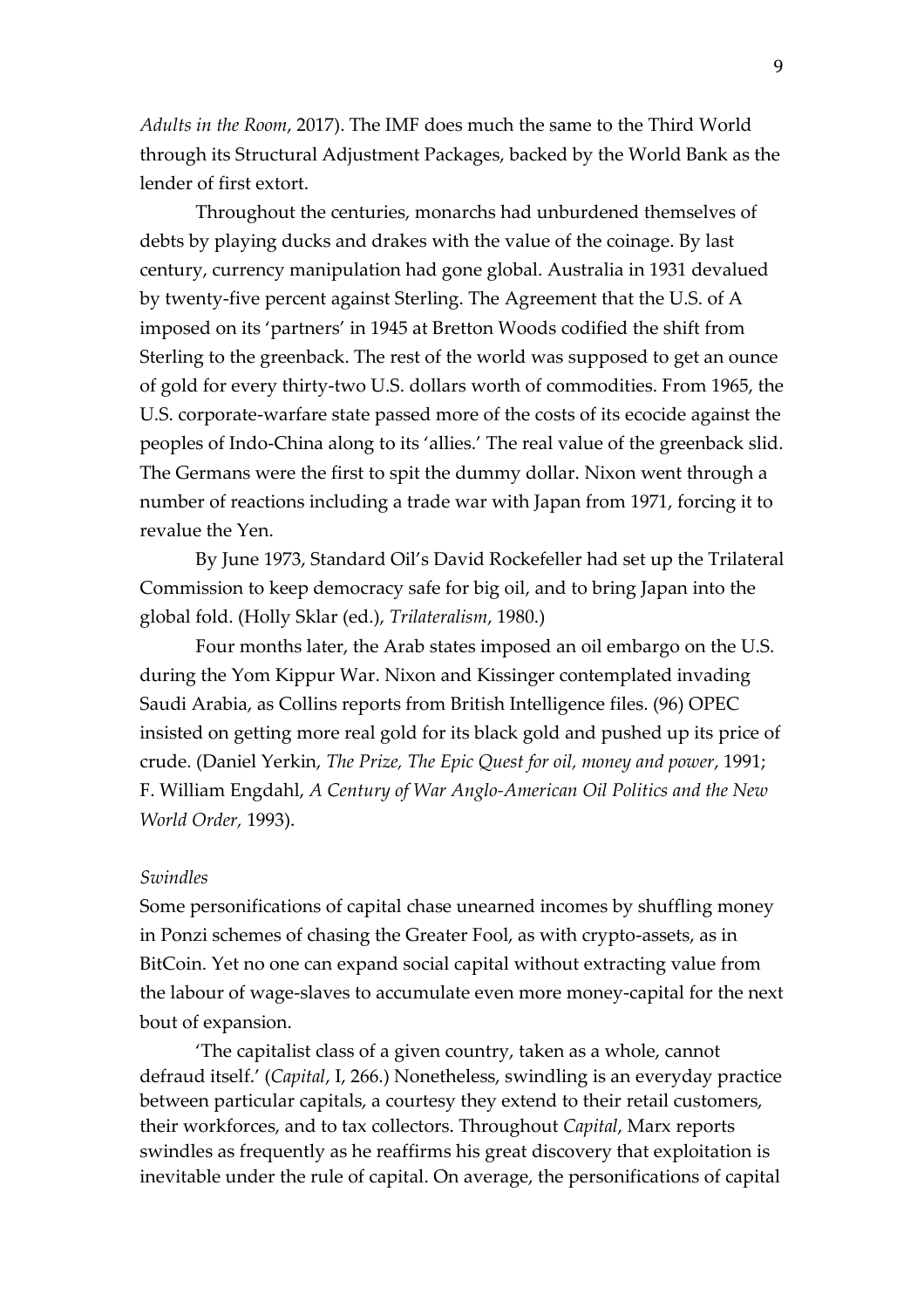*Adults in the Room*, 2017). The IMF does much the same to the Third World through its Structural Adjustment Packages, backed by the World Bank as the lender of first extort.

Throughout the centuries, monarchs had unburdened themselves of debts by playing ducks and drakes with the value of the coinage. By last century, currency manipulation had gone global. Australia in 1931 devalued by twenty-five percent against Sterling. The Agreement that the U.S. of A imposed on its 'partners' in 1945 at Bretton Woods codified the shift from Sterling to the greenback. The rest of the world was supposed to get an ounce of gold for every thirty-two U.S. dollars worth of commodities. From 1965, the U.S. corporate-warfare state passed more of the costs of its ecocide against the peoples of Indo-China along to its 'allies.' The real value of the greenback slid. The Germans were the first to spit the dummy dollar. Nixon went through a number of reactions including a trade war with Japan from 1971, forcing it to revalue the Yen.

By June 1973, Standard Oil's David Rockefeller had set up the Trilateral Commission to keep democracy safe for big oil, and to bring Japan into the global fold. (Holly Sklar (ed.), *Trilateralism*, 1980.)

Four months later, the Arab states imposed an oil embargo on the U.S. during the Yom Kippur War. Nixon and Kissinger contemplated invading Saudi Arabia, as Collins reports from British Intelligence files. (96) OPEC insisted on getting more real gold for its black gold and pushed up its price of crude. (Daniel Yerkin, *The Prize, The Epic Quest for oil, money and power*, 1991; F. William Engdahl, *A Century of War Anglo-American Oil Politics and the New World Order,* 1993).

# *Swindles*

Some personifications of capital chase unearned incomes by shuffling money in Ponzi schemes of chasing the Greater Fool, as with crypto-assets, as in BitCoin. Yet no one can expand social capital without extracting value from the labour of wage-slaves to accumulate even more money-capital for the next bout of expansion.

'The capitalist class of a given country, taken as a whole, cannot defraud itself.' (*Capital*, I, 266.) Nonetheless, swindling is an everyday practice between particular capitals, a courtesy they extend to their retail customers, their workforces, and to tax collectors. Throughout *Capital*, Marx reports swindles as frequently as he reaffirms his great discovery that exploitation is inevitable under the rule of capital. On average, the personifications of capital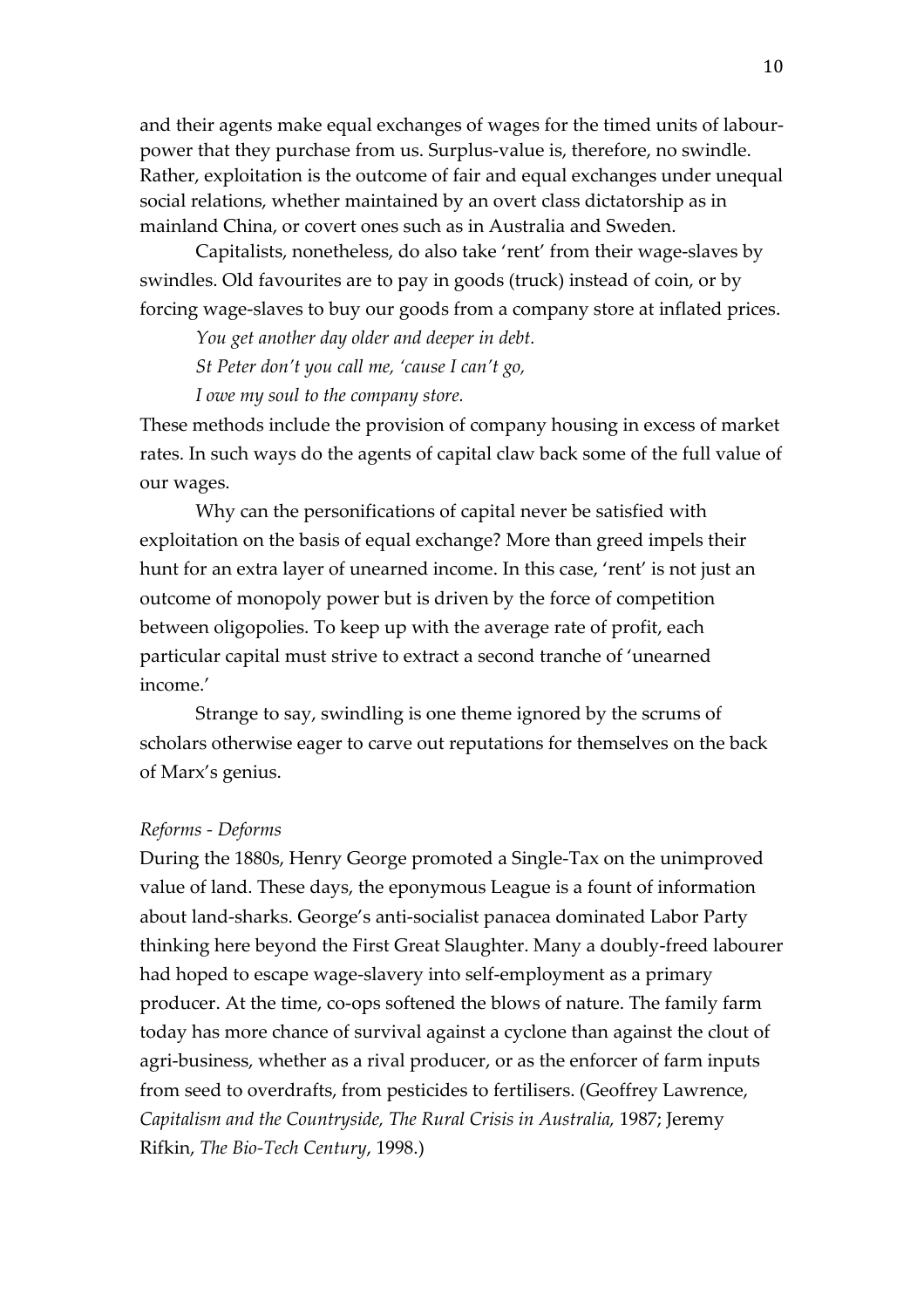and their agents make equal exchanges of wages for the timed units of labourpower that they purchase from us. Surplus-value is, therefore, no swindle. Rather, exploitation is the outcome of fair and equal exchanges under unequal social relations, whether maintained by an overt class dictatorship as in mainland China, or covert ones such as in Australia and Sweden.

Capitalists, nonetheless, do also take 'rent' from their wage-slaves by swindles. Old favourites are to pay in goods (truck) instead of coin, or by forcing wage-slaves to buy our goods from a company store at inflated prices.

*You get another day older and deeper in debt.*

*St Peter don't you call me, 'cause I can't go,*

*I owe my soul to the company store.*

These methods include the provision of company housing in excess of market rates. In such ways do the agents of capital claw back some of the full value of our wages.

Why can the personifications of capital never be satisfied with exploitation on the basis of equal exchange? More than greed impels their hunt for an extra layer of unearned income. In this case, 'rent' is not just an outcome of monopoly power but is driven by the force of competition between oligopolies. To keep up with the average rate of profit, each particular capital must strive to extract a second tranche of 'unearned income.'

Strange to say, swindling is one theme ignored by the scrums of scholars otherwise eager to carve out reputations for themselves on the back of Marx's genius.

# *Reforms - Deforms*

During the 1880s, Henry George promoted a Single-Tax on the unimproved value of land. These days, the eponymous League is a fount of information about land-sharks. George's anti-socialist panacea dominated Labor Party thinking here beyond the First Great Slaughter. Many a doubly-freed labourer had hoped to escape wage-slavery into self-employment as a primary producer. At the time, co-ops softened the blows of nature. The family farm today has more chance of survival against a cyclone than against the clout of agri-business, whether as a rival producer, or as the enforcer of farm inputs from seed to overdrafts, from pesticides to fertilisers. (Geoffrey Lawrence, *Capitalism and the Countryside, The Rural Crisis in Australia,* 1987; Jeremy Rifkin, *The Bio-Tech Century*, 1998.)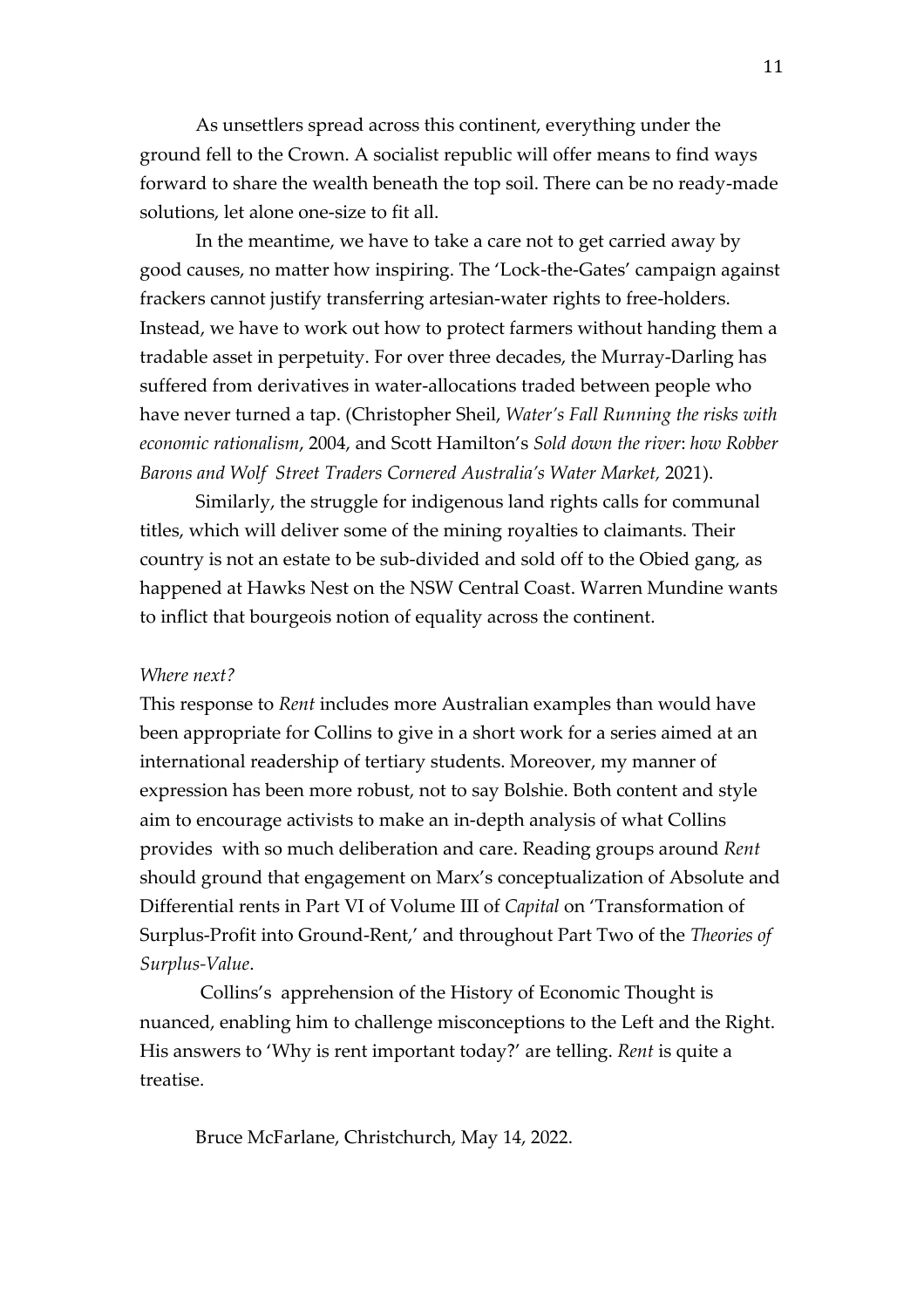As unsettlers spread across this continent, everything under the ground fell to the Crown. A socialist republic will offer means to find ways forward to share the wealth beneath the top soil. There can be no ready-made solutions, let alone one-size to fit all.

In the meantime, we have to take a care not to get carried away by good causes, no matter how inspiring. The 'Lock-the-Gates' campaign against frackers cannot justify transferring artesian-water rights to free-holders. Instead, we have to work out how to protect farmers without handing them a tradable asset in perpetuity. For over three decades, the Murray-Darling has suffered from derivatives in water-allocations traded between people who have never turned a tap. (Christopher Sheil, *Water's Fall Running the risks with economic rationalism*, 2004, and Scott Hamilton's *Sold down the river*: *how Robber Barons and Wolf Street Traders Cornered Australia's Water Market,* 2021).

Similarly, the struggle for indigenous land rights calls for communal titles, which will deliver some of the mining royalties to claimants. Their country is not an estate to be sub-divided and sold off to the Obied gang, as happened at Hawks Nest on the NSW Central Coast. Warren Mundine wants to inflict that bourgeois notion of equality across the continent.

# *Where next?*

This response to *Rent* includes more Australian examples than would have been appropriate for Collins to give in a short work for a series aimed at an international readership of tertiary students. Moreover, my manner of expression has been more robust, not to say Bolshie. Both content and style aim to encourage activists to make an in-depth analysis of what Collins provides with so much deliberation and care. Reading groups around *Rent* should ground that engagement on Marx's conceptualization of Absolute and Differential rents in Part VI of Volume III of *Capital* on 'Transformation of Surplus-Profit into Ground-Rent,' and throughout Part Two of the *Theories of Surplus-Value*.

Collins's apprehension of the History of Economic Thought is nuanced, enabling him to challenge misconceptions to the Left and the Right. His answers to 'Why is rent important today?' are telling. *Rent* is quite a treatise.

Bruce McFarlane, Christchurch, May 14, 2022.